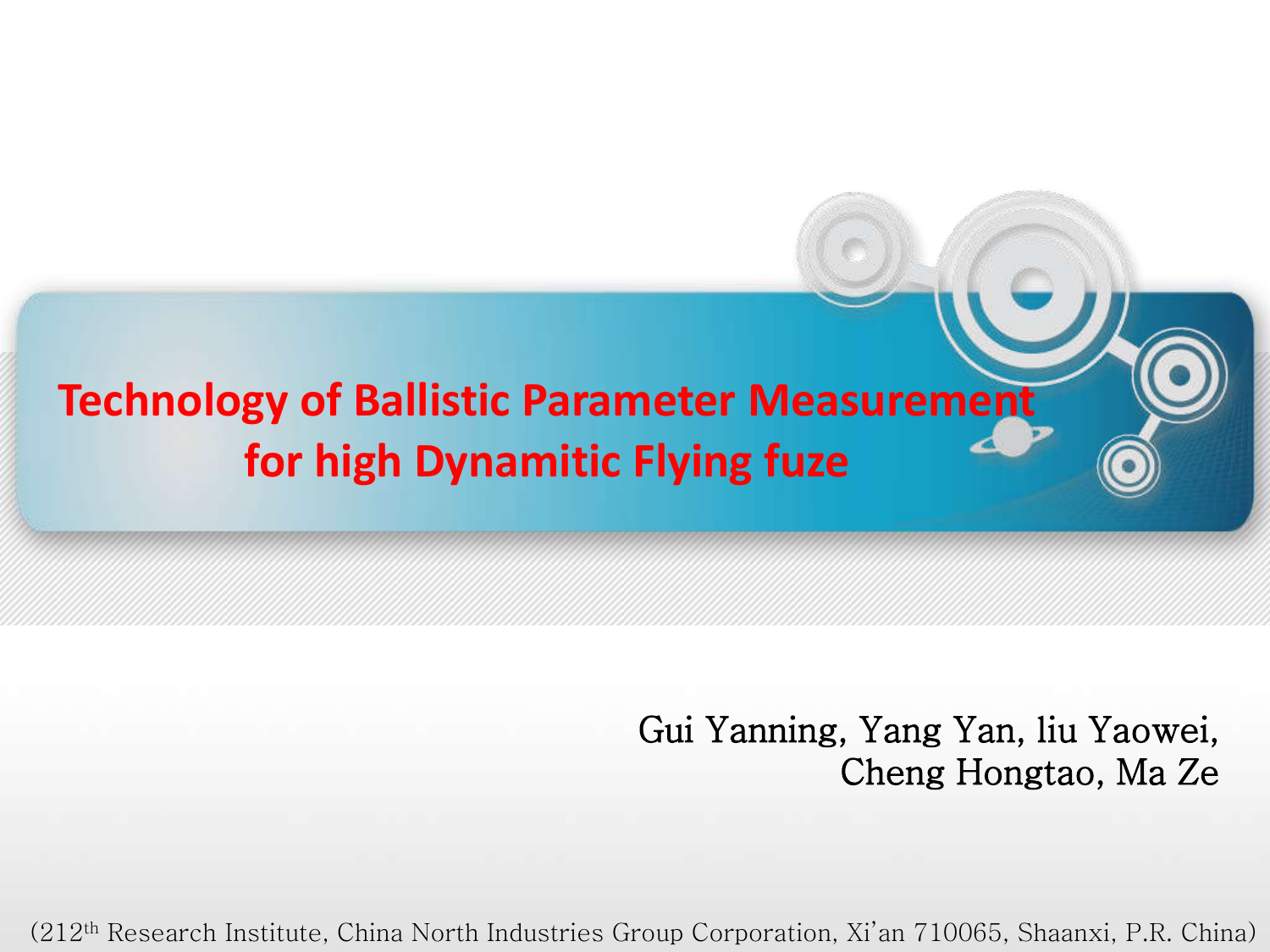#### **Technology of Ballistic Parameter Measurement for high Dynamitic Flying fuze**

Gui Yanning, Yang Yan, liu Yaowei, Cheng Hongtao, Ma Ze

(212th Research Institute, China North Industries Group Corporation, Xi'an 710065, Shaanxi, P.R. China)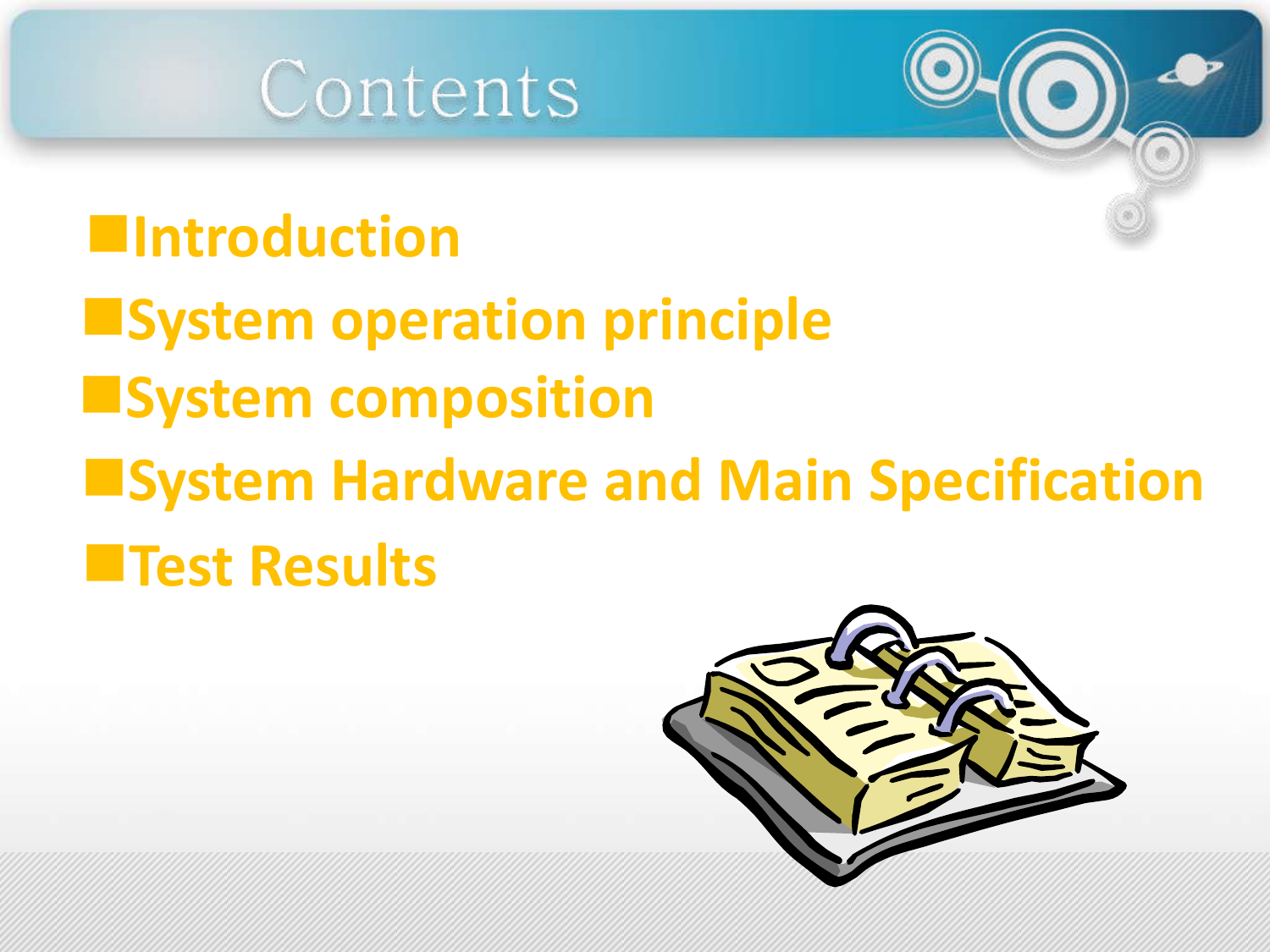

#### **Introduction**

- **E**System operation principle
- **System composition**
- **E**System Hardware and Main Specification **Test Results**

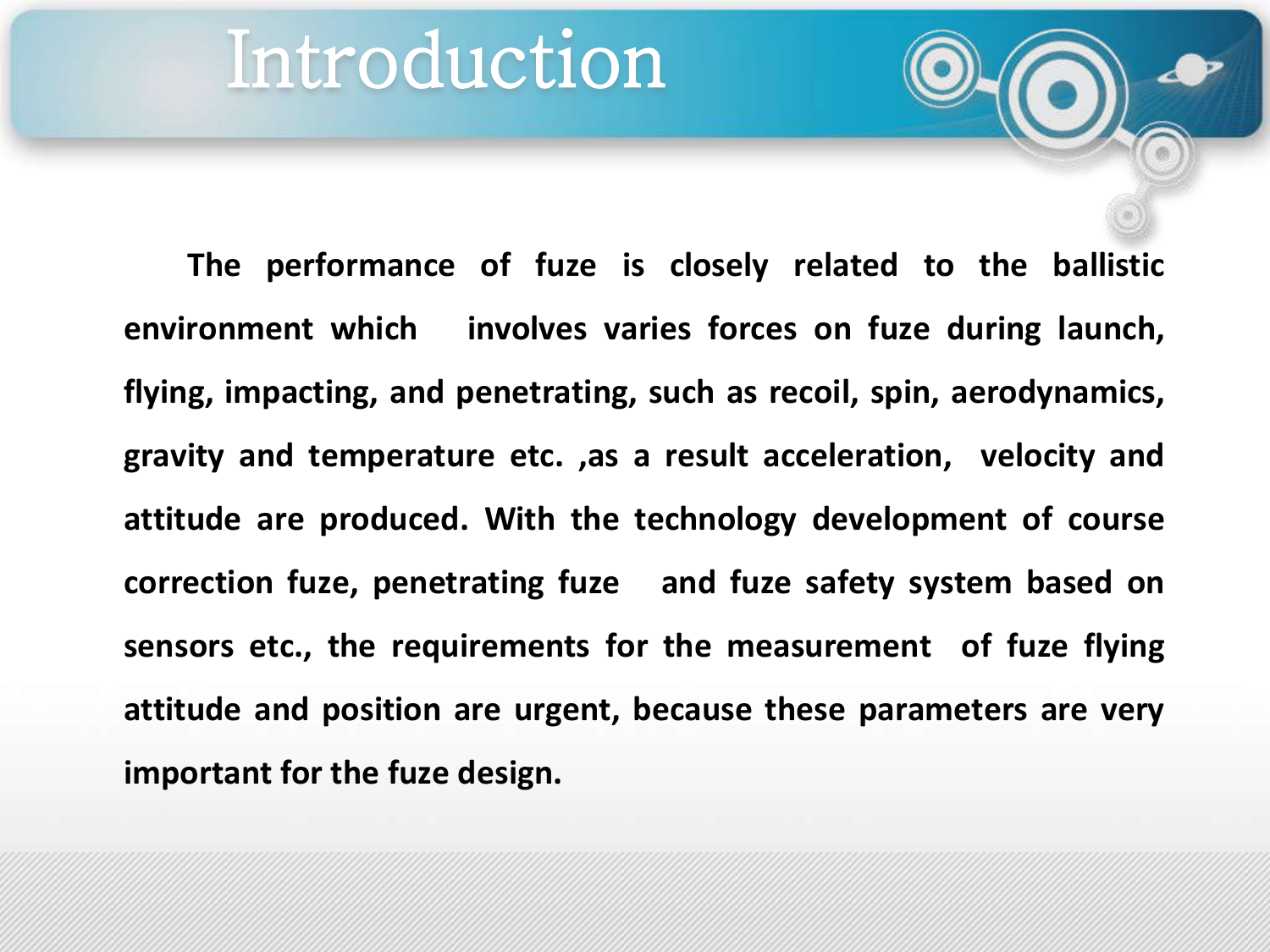### Introduction

**The performance of fuze is closely related to the ballistic environment which involves varies forces on fuze during launch, flying, impacting, and penetrating, such as recoil, spin, aerodynamics, gravity and temperature etc. ,as a result acceleration, velocity and attitude are produced. With the technology development of course correction fuze, penetrating fuze and fuze safety system based on sensors etc., the requirements for the measurement of fuze flying attitude and position are urgent, because these parameters are very important for the fuze design.**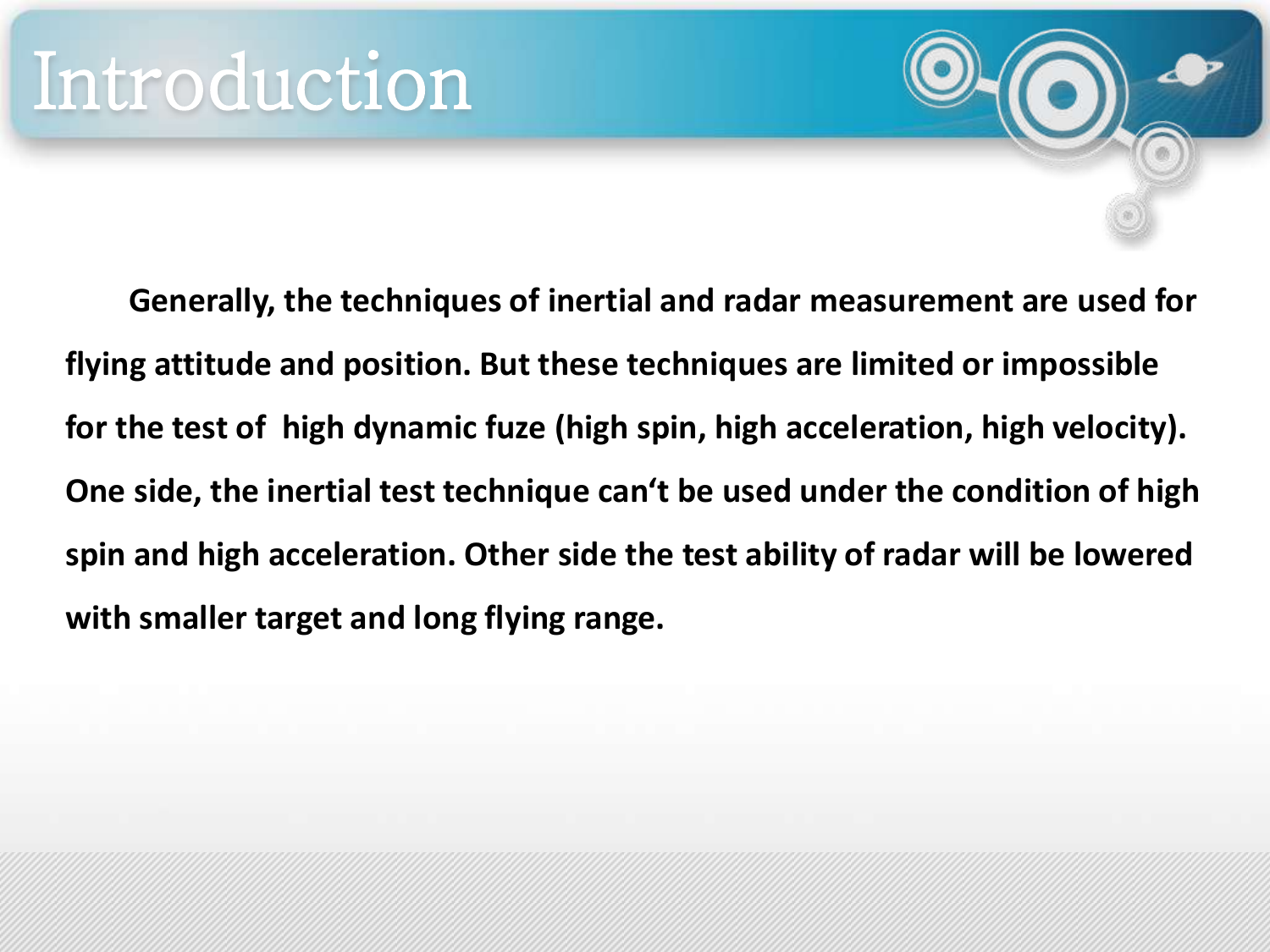**Generally, the techniques of inertial and radar measurement are used for flying attitude and position. But these techniques are limited or impossible for the test of high dynamic fuze (high spin, high acceleration, high velocity). One side, the inertial test technique can't be used under the condition of high spin and high acceleration. Other side the test ability of radar will be lowered with smaller target and long flying range.**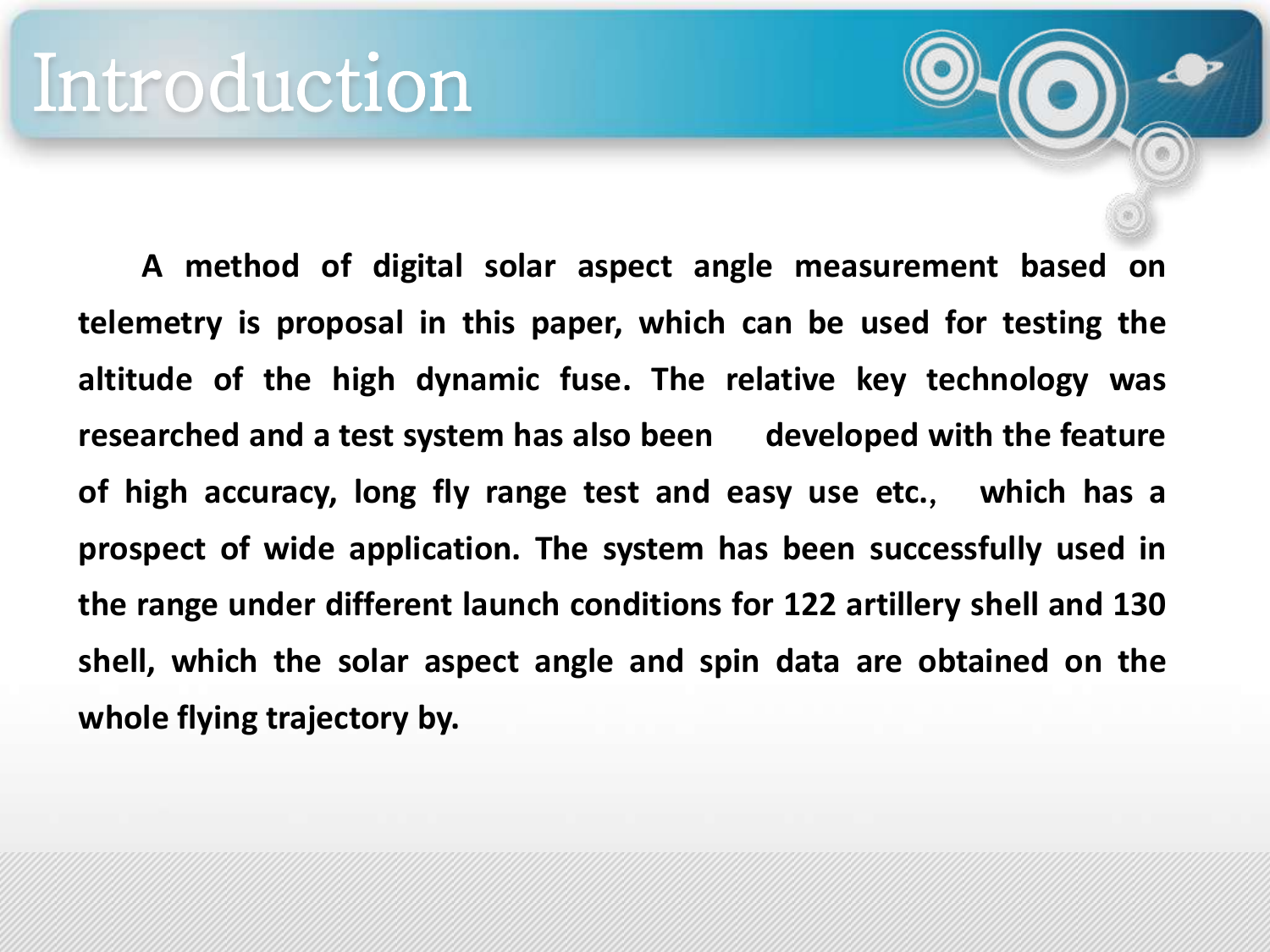**A method of digital solar aspect angle measurement based on telemetry is proposal in this paper, which can be used for testing the altitude of the high dynamic fuse. The relative key technology was researched and a test system has also been developed with the feature of high accuracy, long fly range test and easy use etc.**, **which has a prospect of wide application. The system has been successfully used in the range under different launch conditions for 122 artillery shell and 130 shell, which the solar aspect angle and spin data are obtained on the whole flying trajectory by.**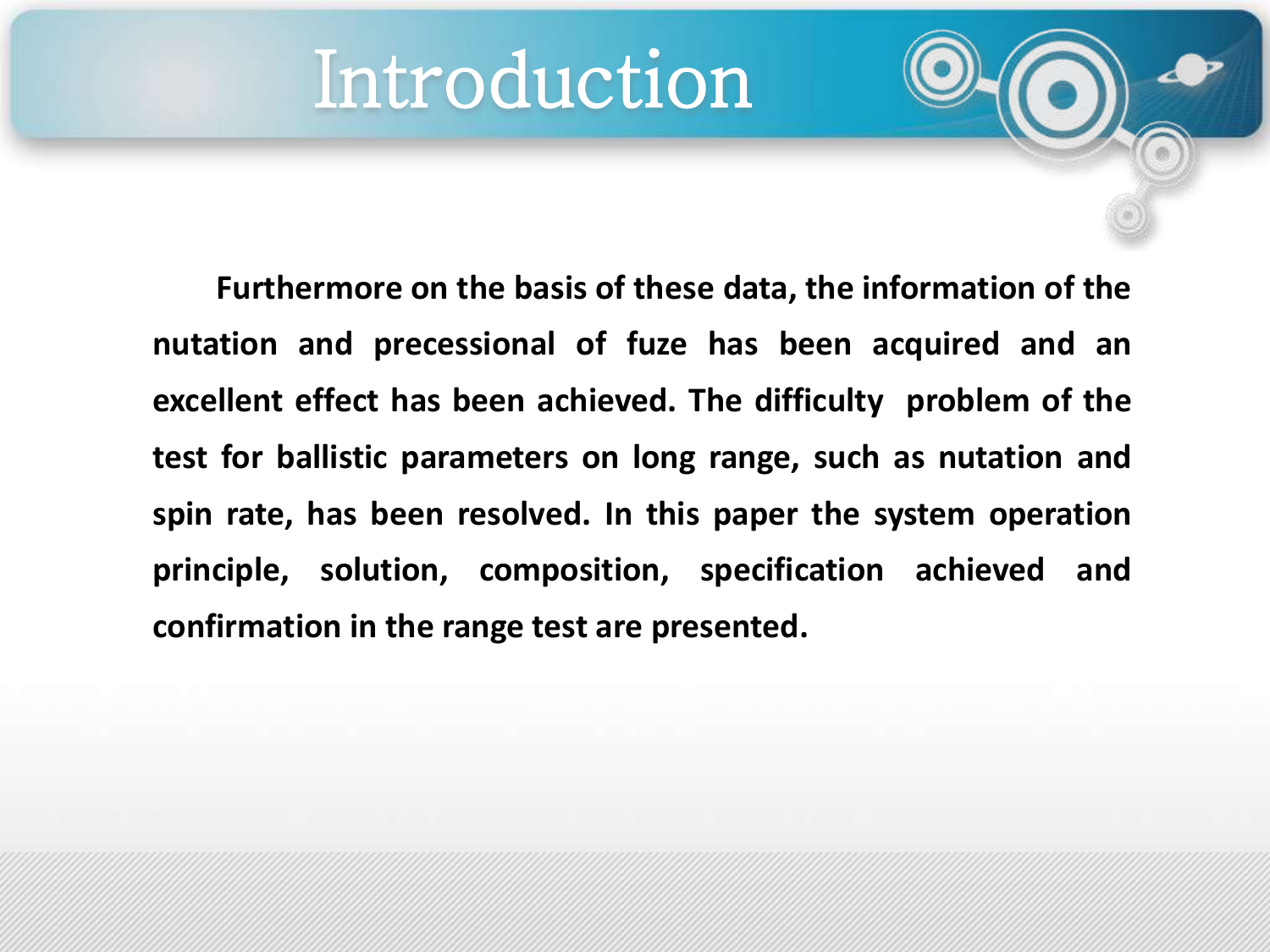### Introduction

**Furthermore on the basis of these data, the information of the nutation and precessional of fuze has been acquired and an excellent effect has been achieved. The difficulty problem of the test for ballistic parameters on long range, such as nutation and spin rate, has been resolved. In this paper the system operation principle, solution, composition, specification achieved and confirmation in the range test are presented.**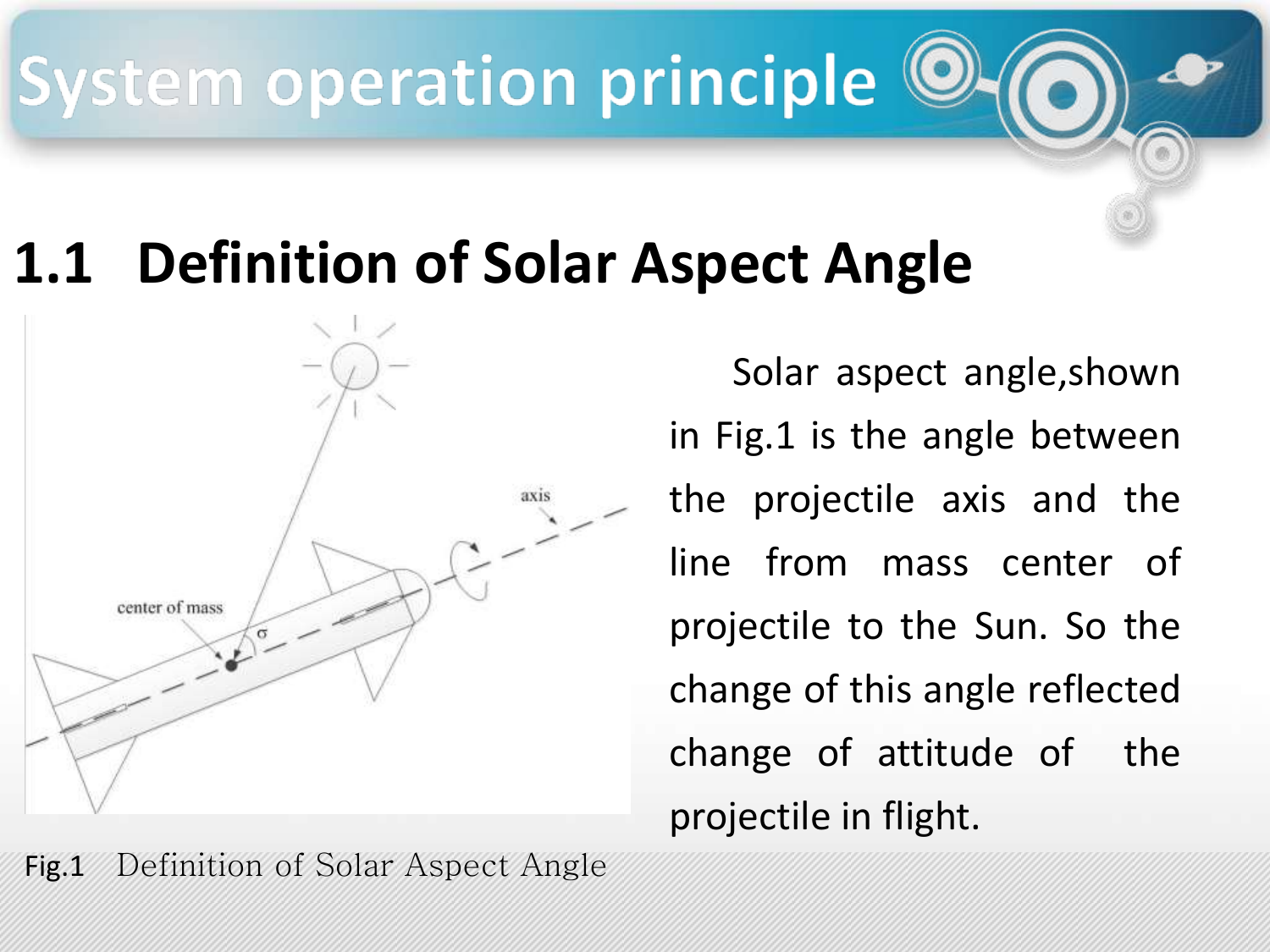#### **Definition of Solar Aspect Angle**



Solar aspect angle,shown in Fig.1 is the angle between the projectile axis and the line from mass center of projectile to the Sun. So the change of this angle reflected change of attitude of the projectile in flight.

Fig.1 Definition of Solar Aspect Angle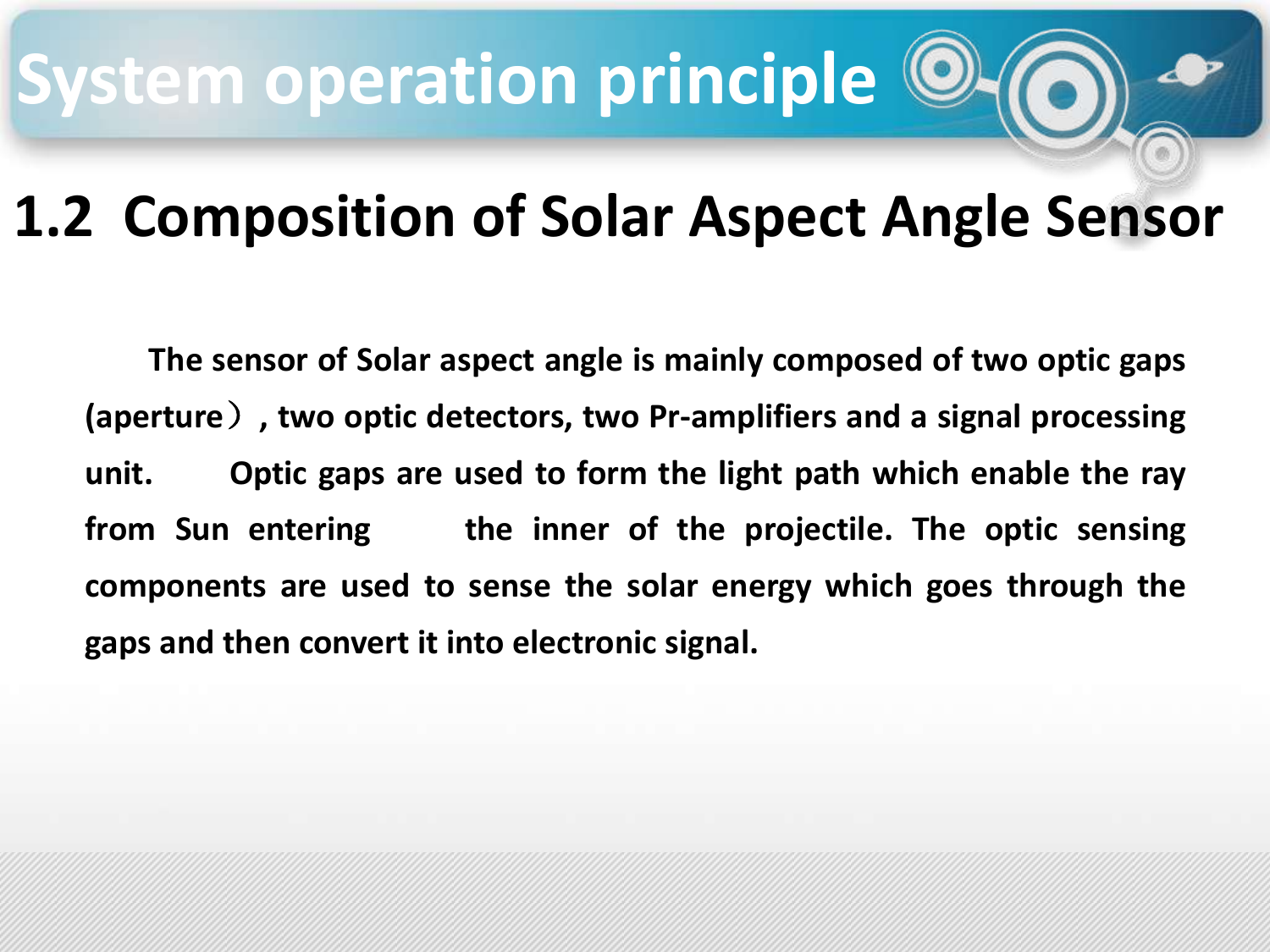### **1.2 Composition of Solar Aspect Angle Sensor**

**The sensor of Solar aspect angle is mainly composed of two optic gaps (aperture**)**, two optic detectors, two Pr-amplifiers and a signal processing unit. Optic gaps are used to form the light path which enable the ray from Sun entering the inner of the projectile. The optic sensing components are used to sense the solar energy which goes through the gaps and then convert it into electronic signal.**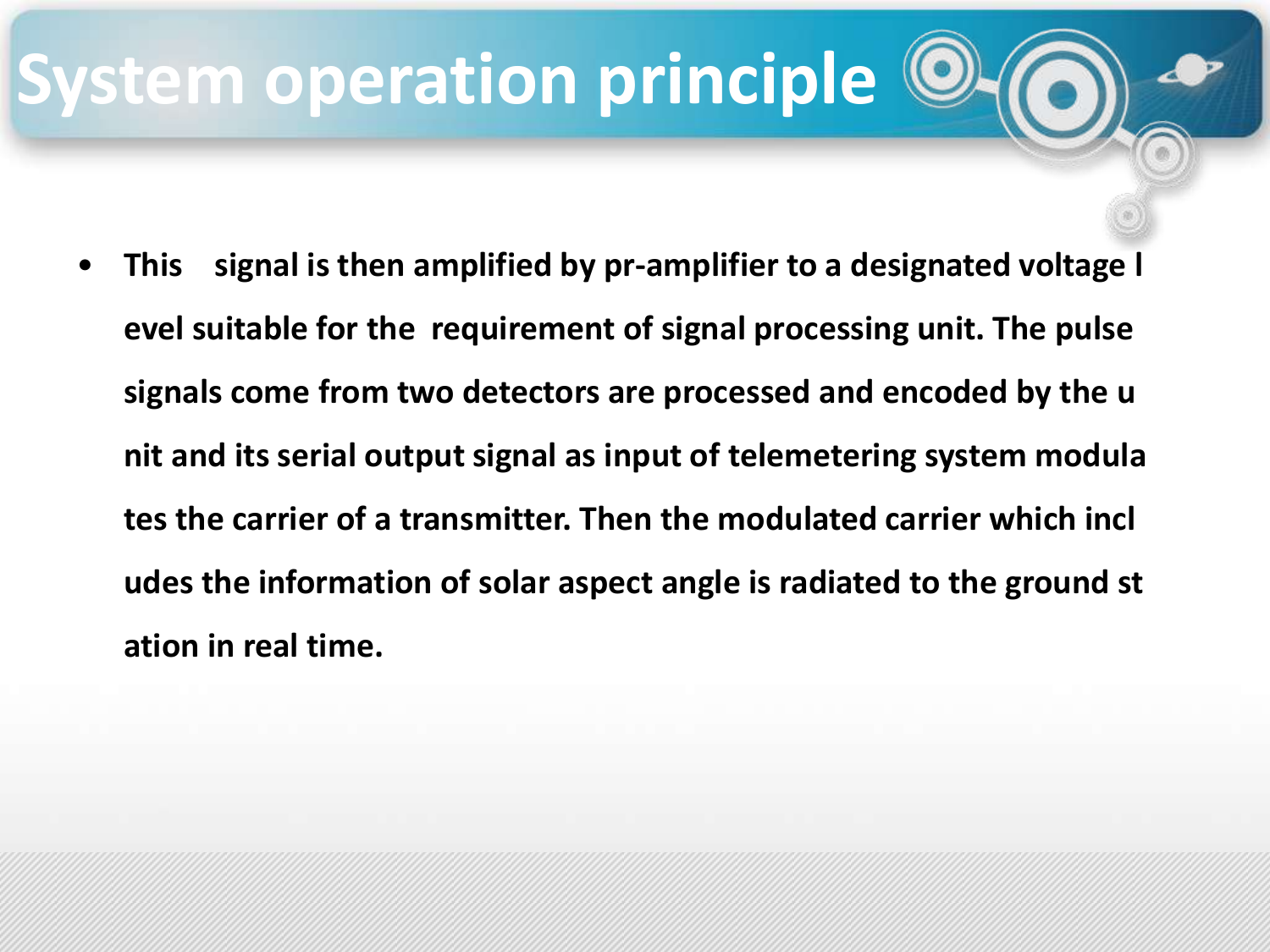• **This signal is then amplified by pr-amplifier to a designated voltage l evel suitable for the requirement of signal processing unit. The pulse signals come from two detectors are processed and encoded by the u nit and its serial output signal as input of telemetering system modula tes the carrier of a transmitter. Then the modulated carrier which incl udes the information of solar aspect angle is radiated to the ground st ation in real time.**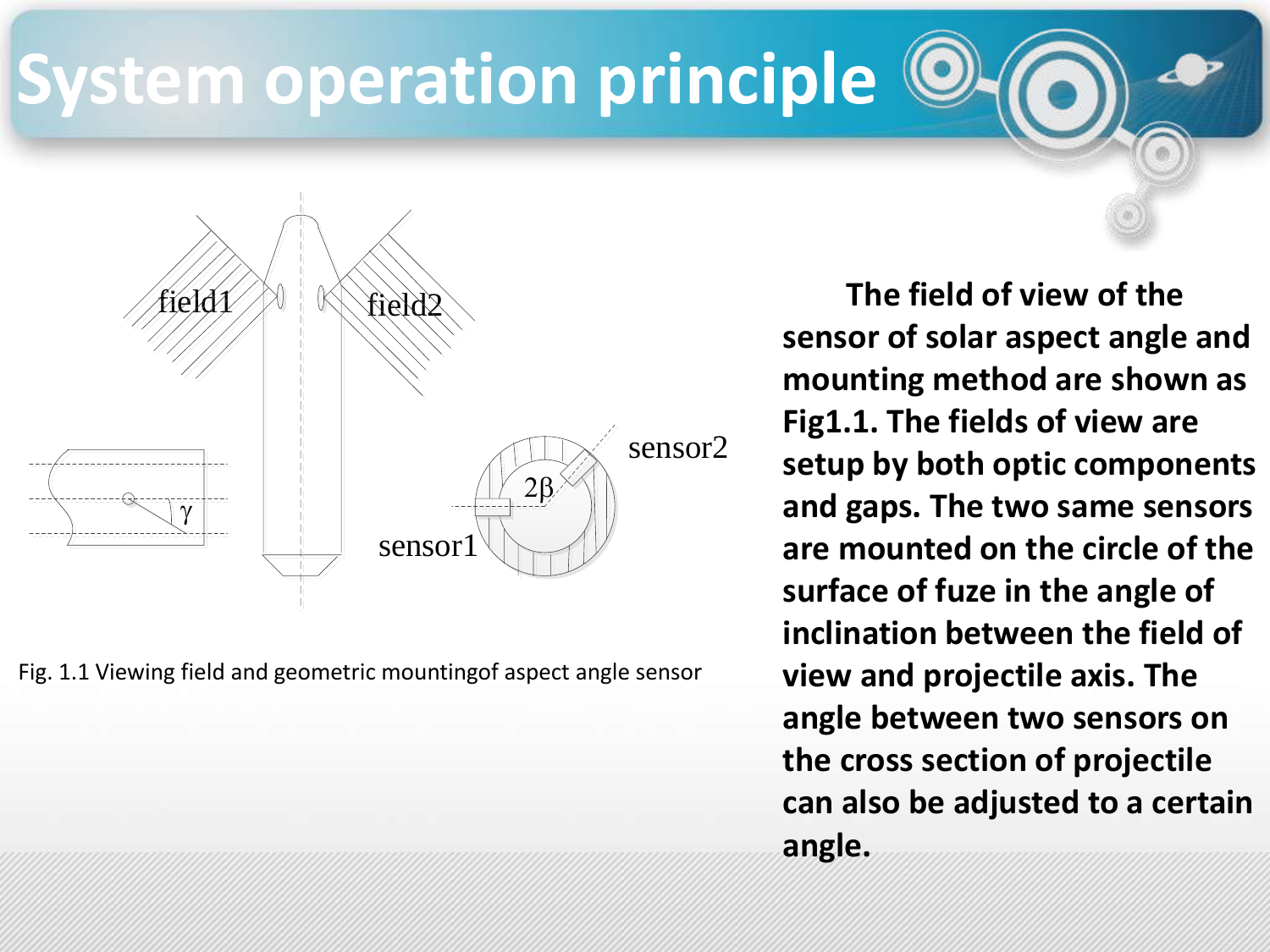

Fig. 1.1 Viewing field and geometric mountingof aspect angle sensor

**The field of view of the sensor of solar aspect angle and mounting method are shown as Fig1.1. The fields of view are setup by both optic components and gaps. The two same sensors are mounted on the circle of the surface of fuze in the angle of inclination between the field of view and projectile axis. The angle between two sensors on the cross section of projectile can also be adjusted to a certain angle.**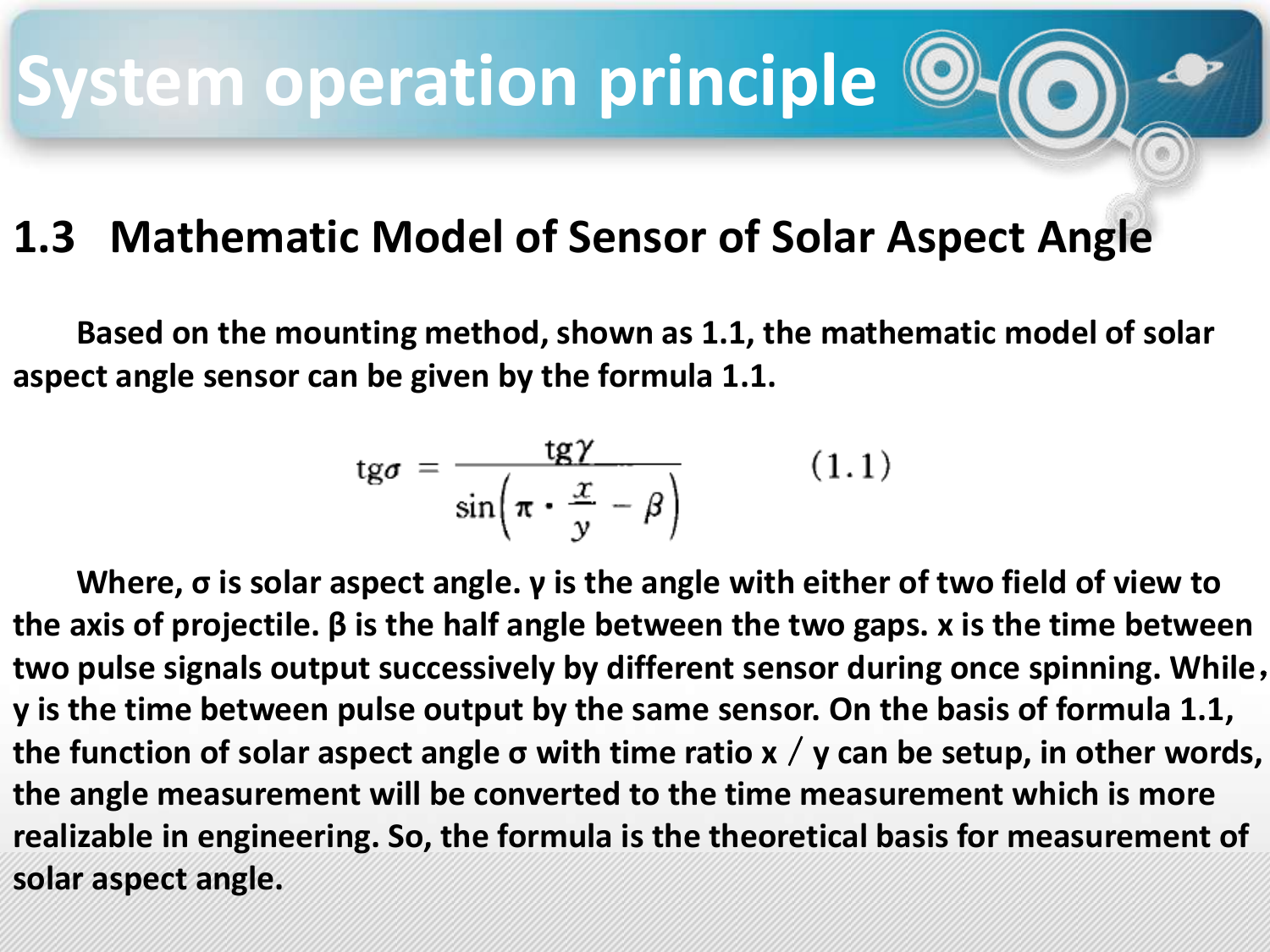#### **1.3 Mathematic Model of Sensor of Solar Aspect Angle**

**Based on the mounting method, shown as 1.1, the mathematic model of solar aspect angle sensor can be given by the formula 1.1.**

$$
tg\sigma = \frac{tg\gamma}{\sin\left(\pi \cdot \frac{x}{y} - \beta\right)}\tag{1.1}
$$

**Where, σ is solar aspect angle. γ is the angle with either of two field of view to the axis of projectile. β is the half angle between the two gaps. x is the time between two pulse signals output successively by different sensor during once spinning. While**, **y is the time between pulse output by the same sensor. On the basis of formula 1.1, the function of solar aspect angle σ with time ratio x**/**y can be setup, in other words, the angle measurement will be converted to the time measurement which is more realizable in engineering. So, the formula is the theoretical basis for measurement of solar aspect angle.**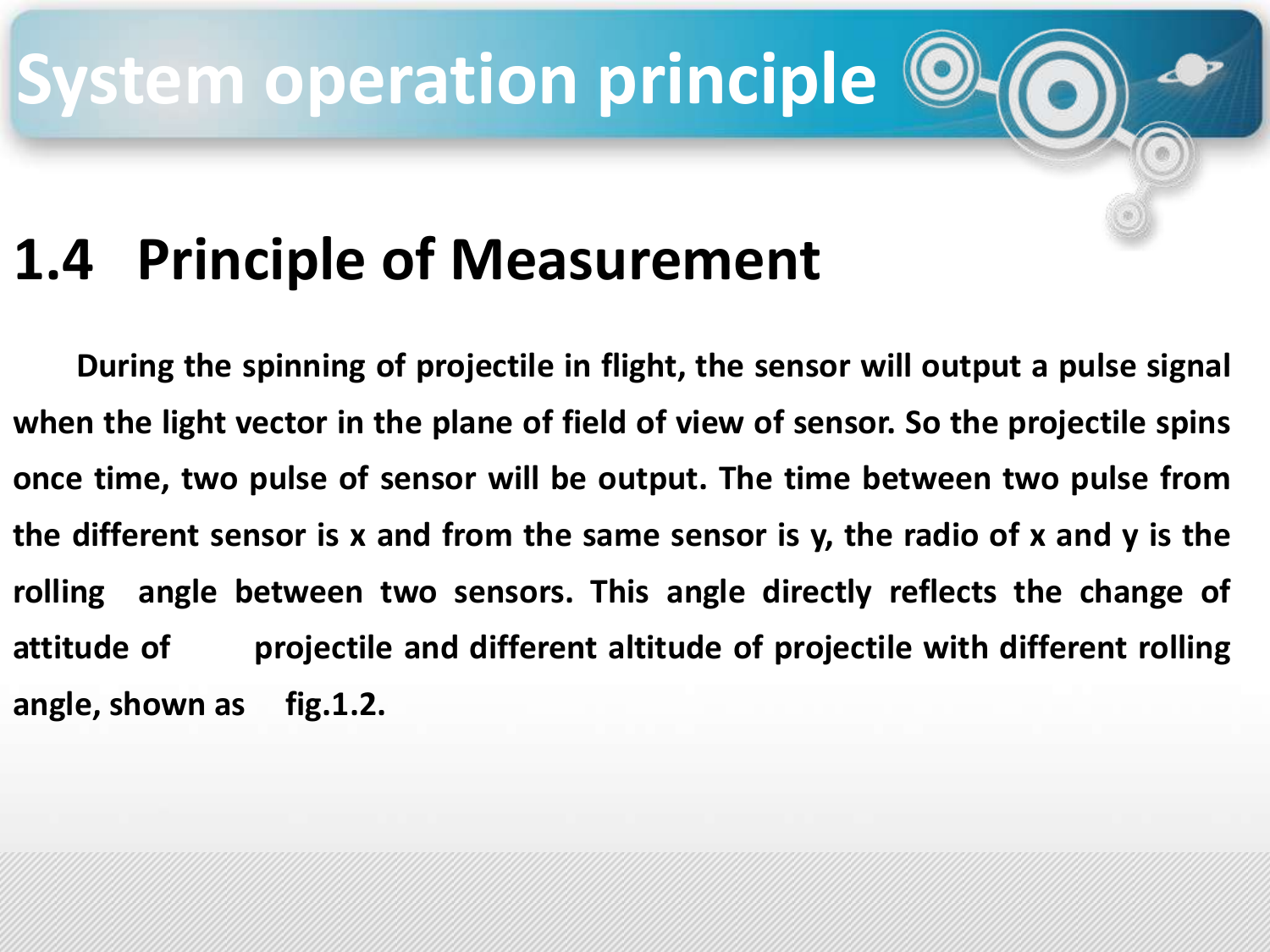### **1.4 Principle of Measurement**

**During the spinning of projectile in flight, the sensor will output a pulse signal when the light vector in the plane of field of view of sensor. So the projectile spins once time, two pulse of sensor will be output. The time between two pulse from the different sensor is x and from the same sensor is y, the radio of x and y is the rolling angle between two sensors. This angle directly reflects the change of attitude of projectile and different altitude of projectile with different rolling angle, shown as fig.1.2.**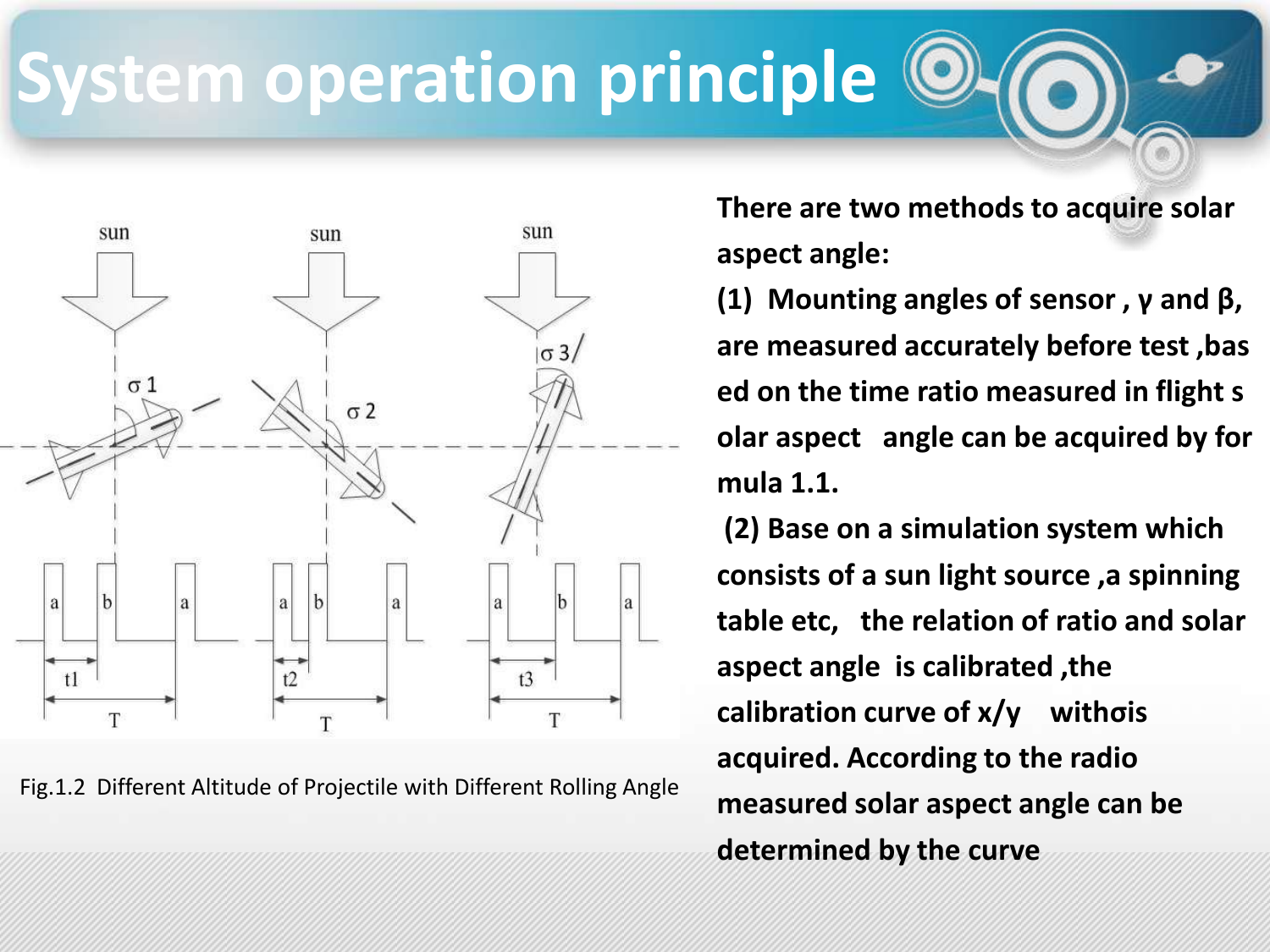

Fig.1.2 Different Altitude of Projectile with Different Rolling Angle

**There are two methods to acquire solar aspect angle:**

**(1) Mounting angles of sensor , γ and β, are measured accurately before test ,bas ed on the time ratio measured in flight s olar aspect angle can be acquired by for mula 1.1.** 

**(2) Base on a simulation system which consists of a sun light source ,a spinning table etc, the relation of ratio and solar aspect angle is calibrated ,the calibration curve of x/y withσis acquired. According to the radio measured solar aspect angle can be determined by the curve**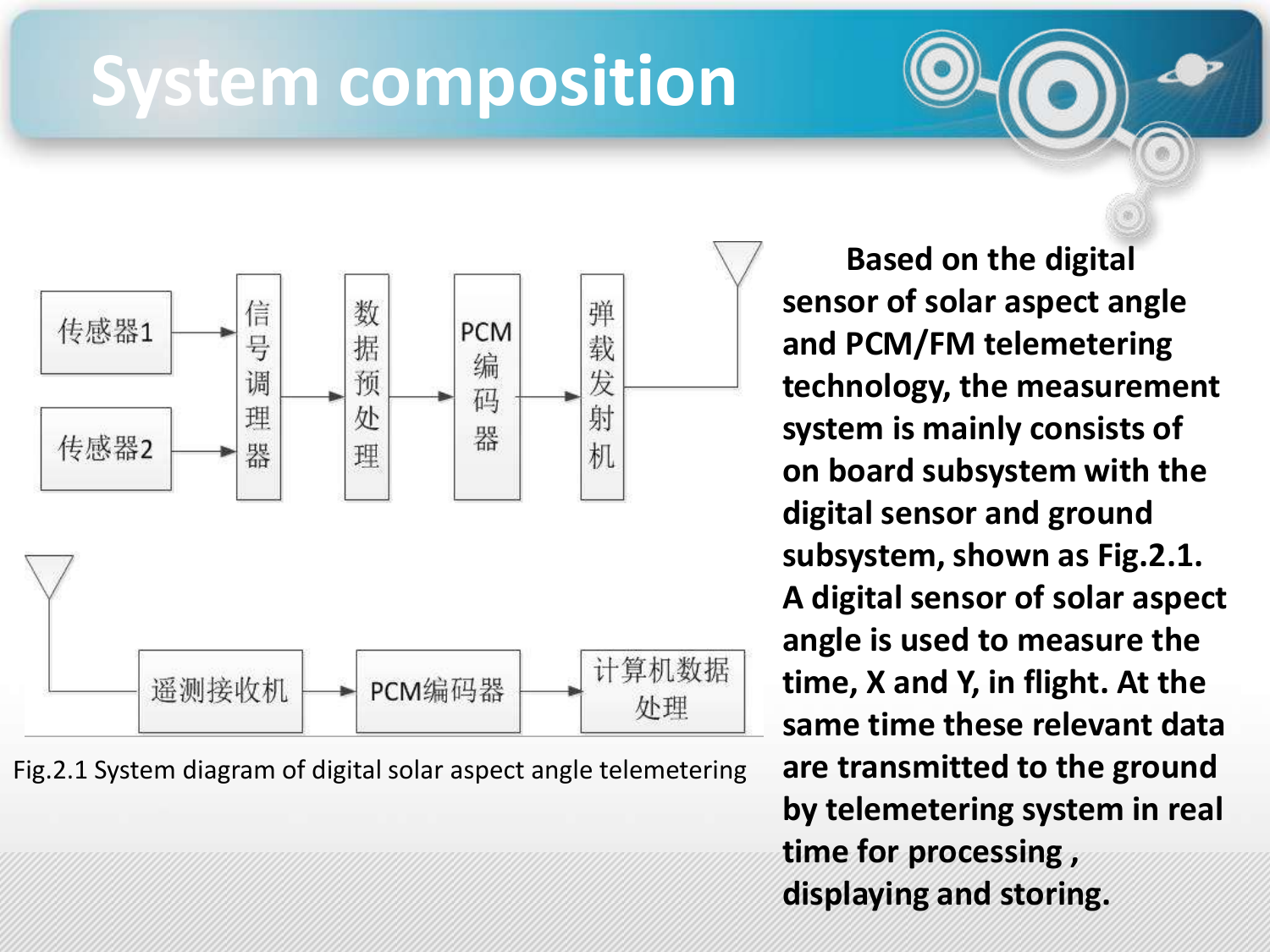### **System composition**



Fig.2.1 System diagram of digital solar aspect angle telemetering

**Based on the digital sensor of solar aspect angle and PCM/FM telemetering technology, the measurement system is mainly consists of on board subsystem with the digital sensor and ground subsystem, shown as Fig.2.1. A digital sensor of solar aspect angle is used to measure the time, X and Y, in flight. At the same time these relevant data are transmitted to the ground by telemetering system in real time for processing , displaying and storing.**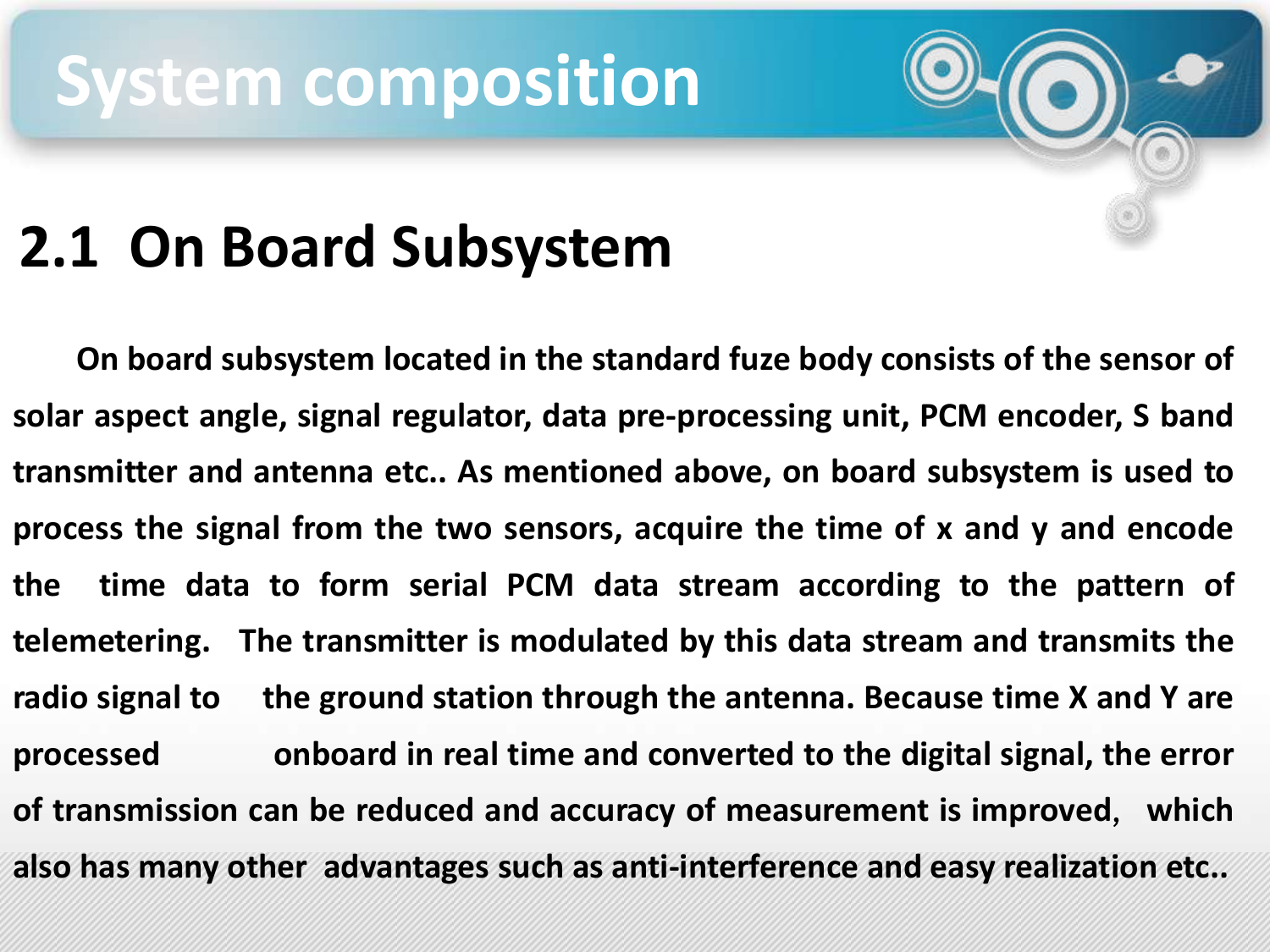### **System composition**

### **2.1 On Board Subsystem**

**On board subsystem located in the standard fuze body consists of the sensor of solar aspect angle, signal regulator, data pre-processing unit, PCM encoder, S band transmitter and antenna etc.. As mentioned above, on board subsystem is used to process the signal from the two sensors, acquire the time of x and y and encode the time data to form serial PCM data stream according to the pattern of telemetering. The transmitter is modulated by this data stream and transmits the radio signal to the ground station through the antenna. Because time X and Y are processed onboard in real time and converted to the digital signal, the error of transmission can be reduced and accuracy of measurement is improved**,**which also has many other advantages such as anti-interference and easy realization etc..**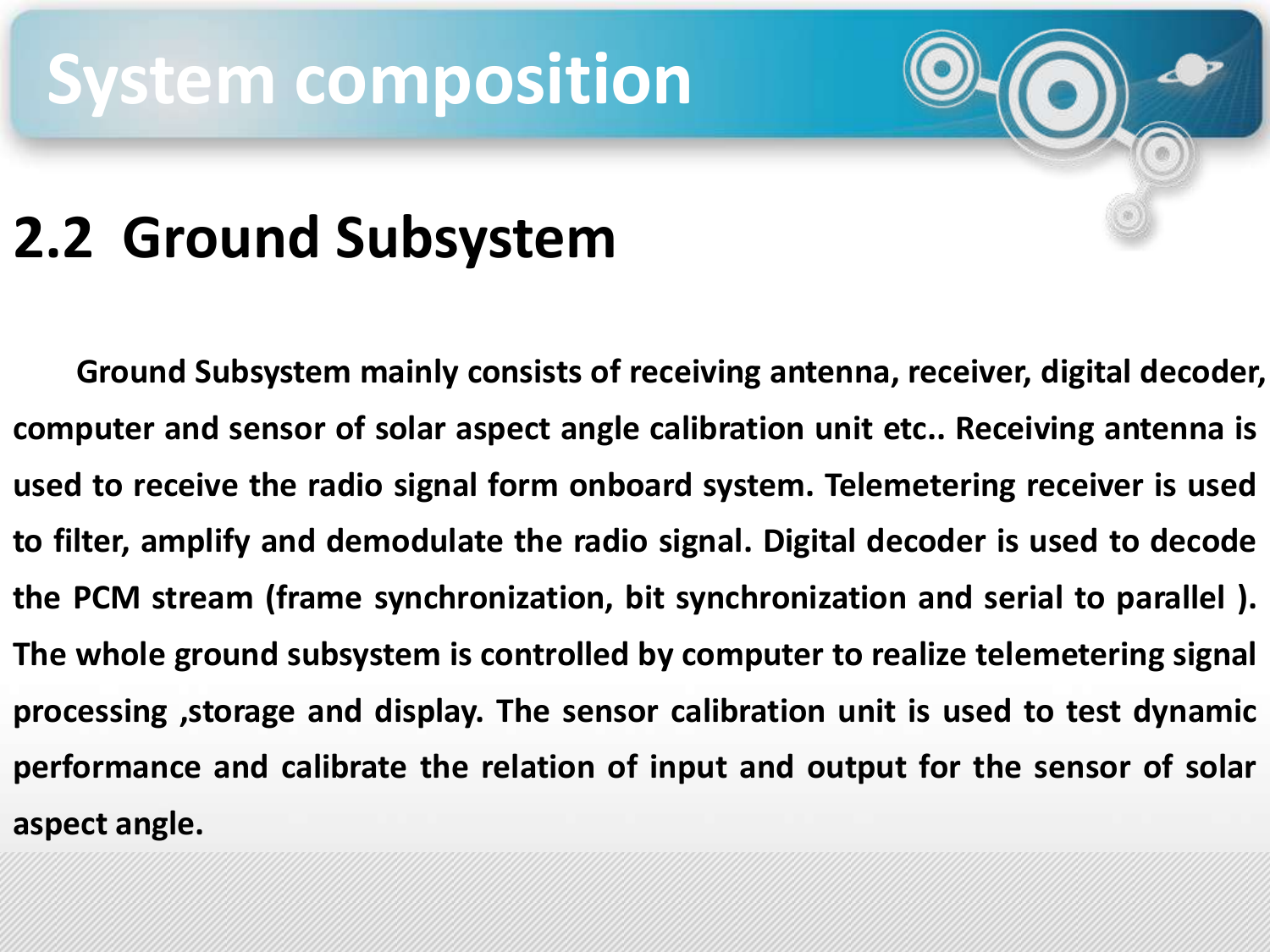### **System composition**

#### **2.2 Ground Subsystem**

**Ground Subsystem mainly consists of receiving antenna, receiver, digital decoder, computer and sensor of solar aspect angle calibration unit etc.. Receiving antenna is used to receive the radio signal form onboard system. Telemetering receiver is used to filter, amplify and demodulate the radio signal. Digital decoder is used to decode the PCM stream (frame synchronization, bit synchronization and serial to parallel ). The whole ground subsystem is controlled by computer to realize telemetering signal processing ,storage and display. The sensor calibration unit is used to test dynamic performance and calibrate the relation of input and output for the sensor of solar aspect angle.**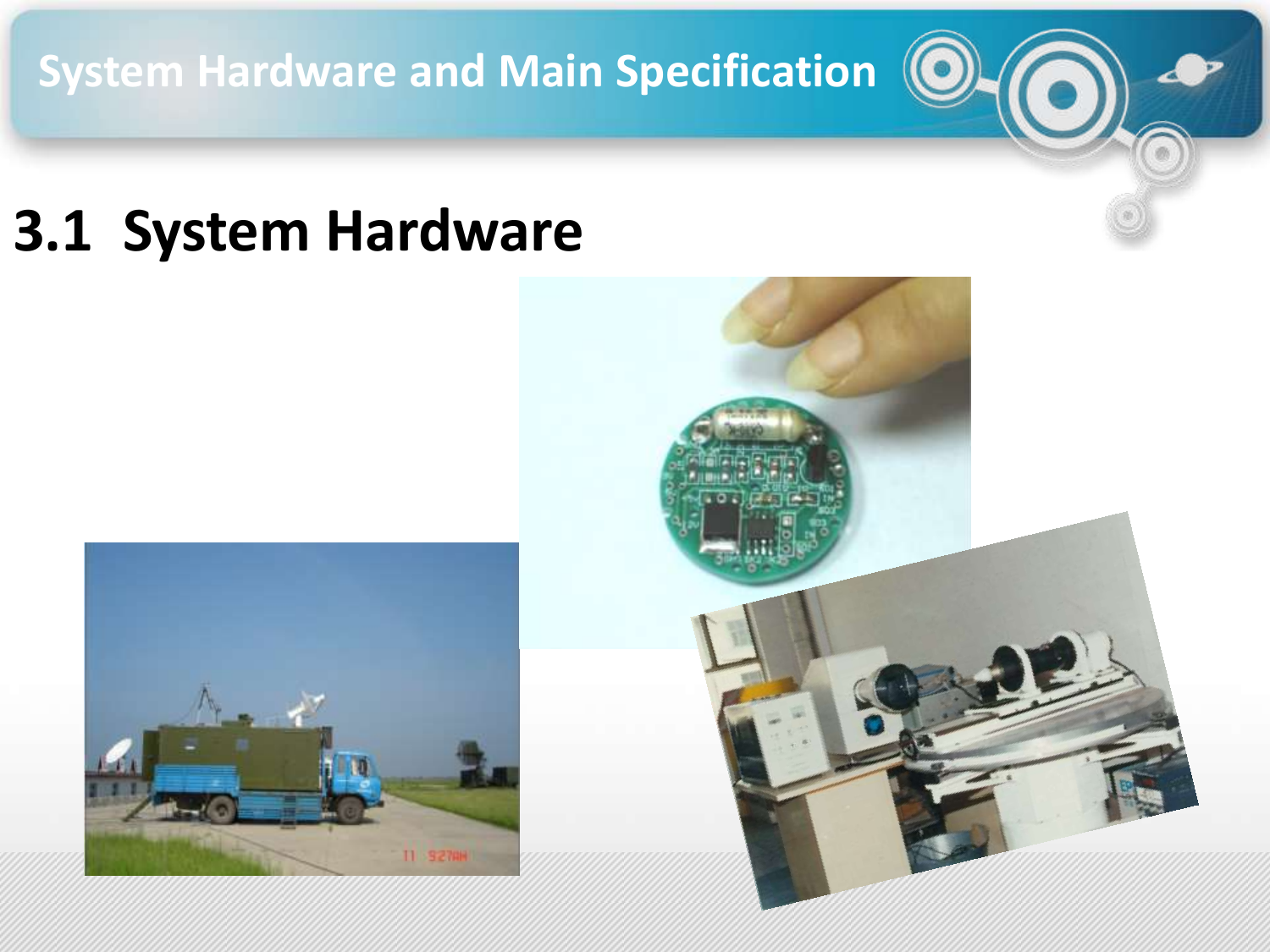**System Hardware and Main Specification**

#### **3.1 System Hardware**



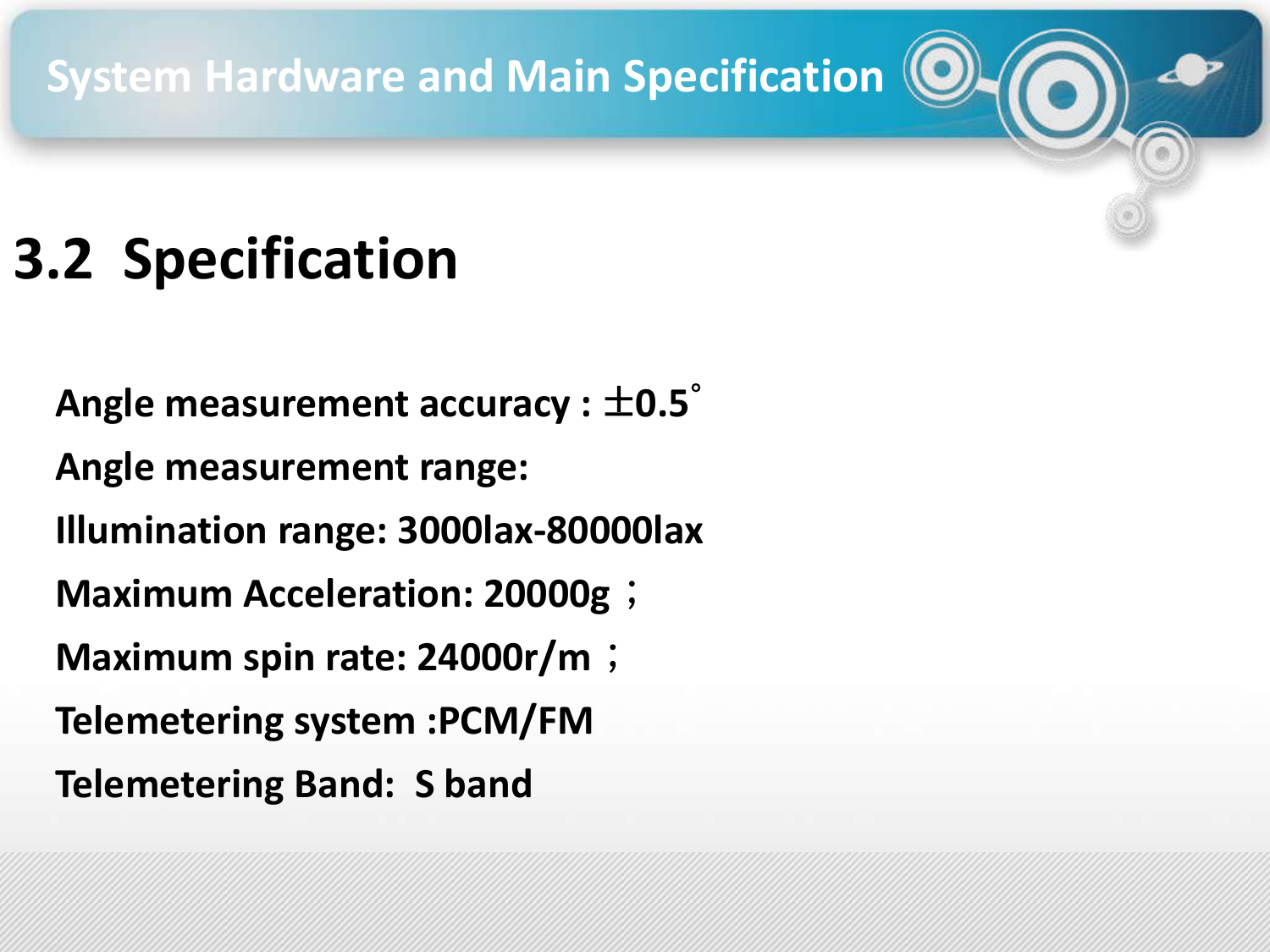**System Hardware and Main Specification**

### **3.2 Specification**

**Angle measurement accuracy :** ±**0.5**° **Angle measurement range: Illumination range: 3000lax-80000lax Maximum Acceleration: 20000g**; **Maximum spin rate: 24000r/m**; **Telemetering system :PCM/FM Telemetering Band: S band**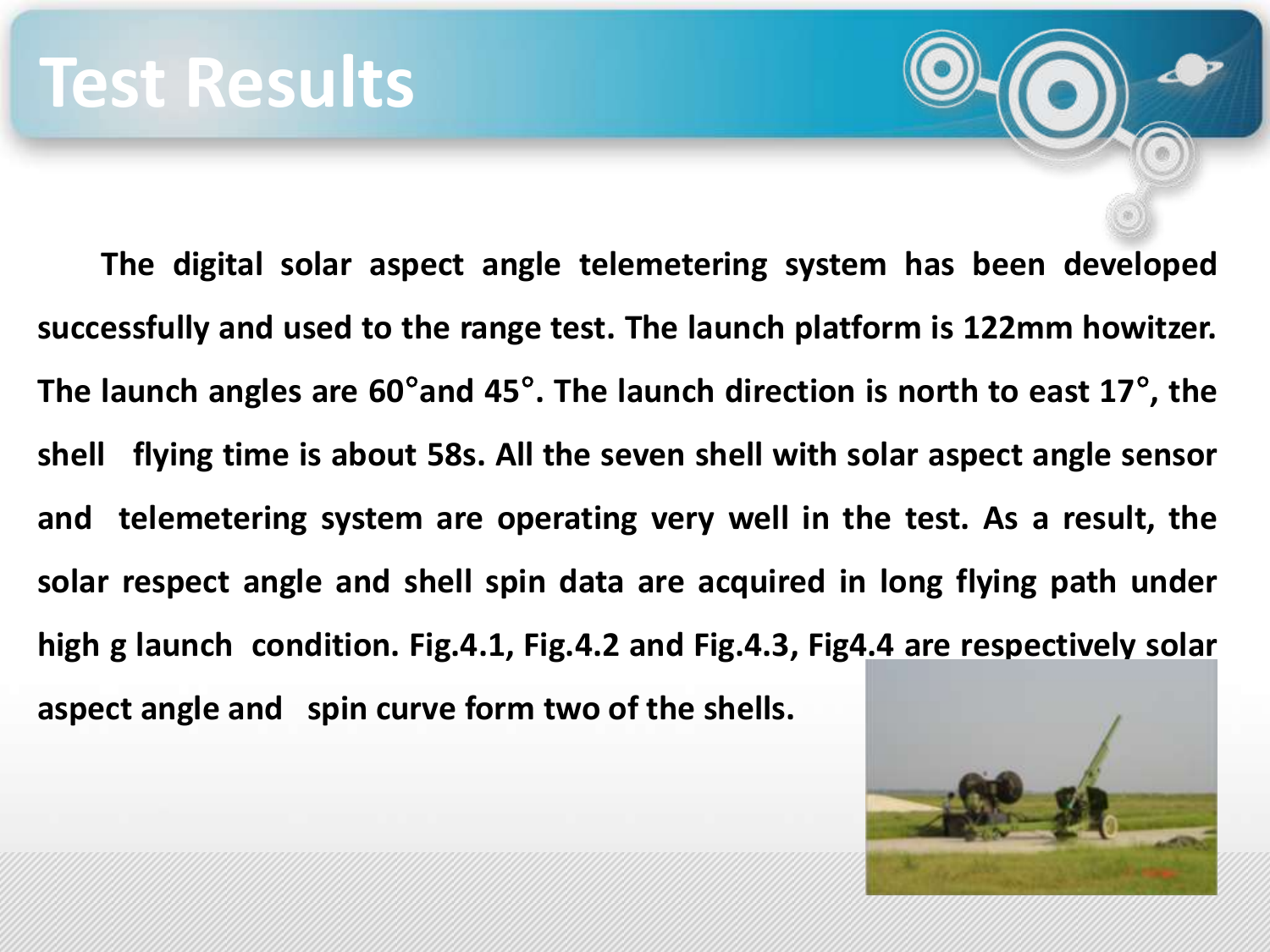**The digital solar aspect angle telemetering system has been developed successfully and used to the range test. The launch platform is 122mm howitzer. The launch angles are 60**°**and 45**°**. The launch direction is north to east 17**° **, the shell flying time is about 58s. All the seven shell with solar aspect angle sensor and telemetering system are operating very well in the test. As a result, the solar respect angle and shell spin data are acquired in long flying path under high g launch condition. Fig.4.1, Fig.4.2 and Fig.4.3, Fig4.4 are respectively solar aspect angle and spin curve form two of the shells.**

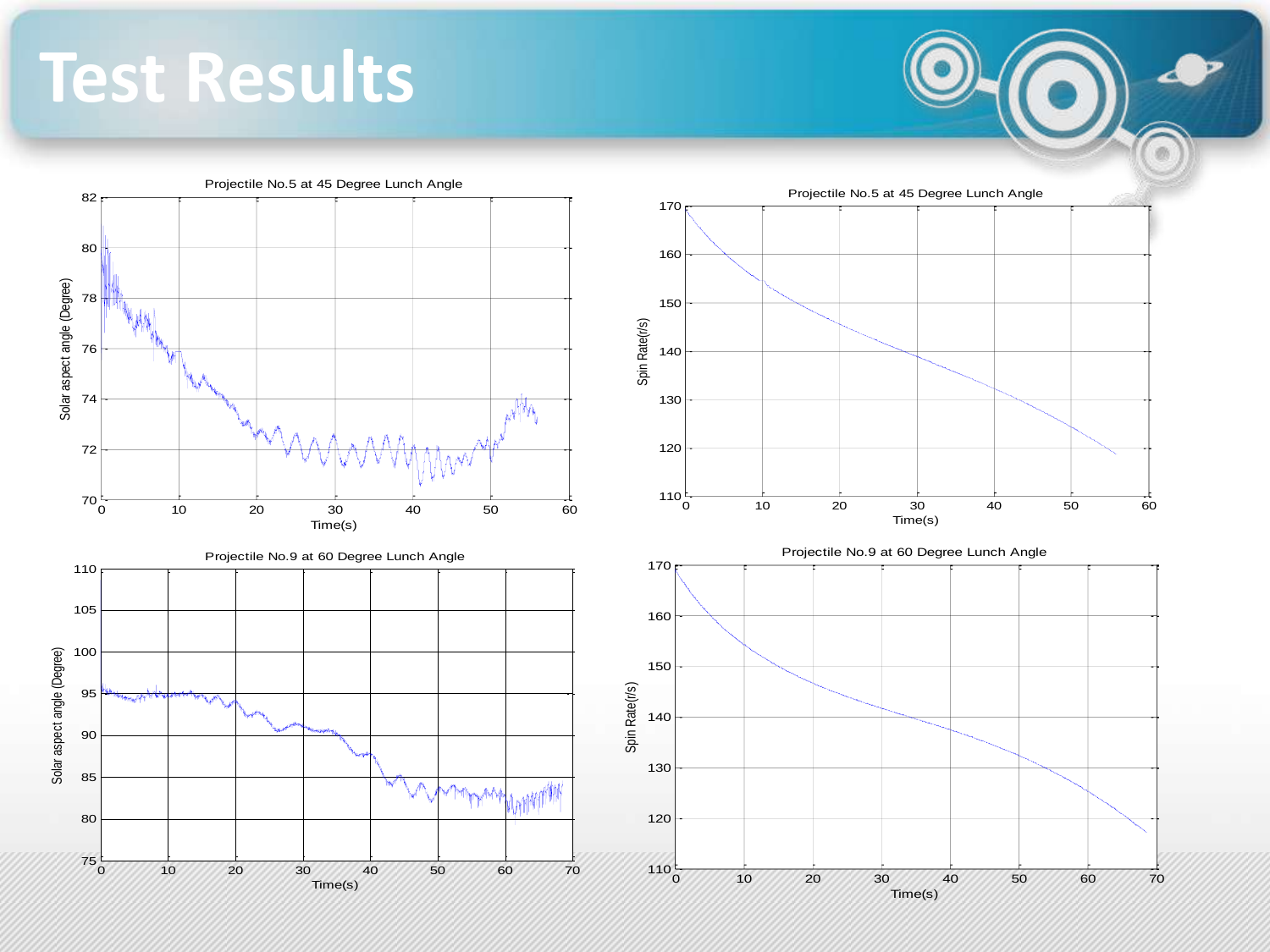**Test Results**